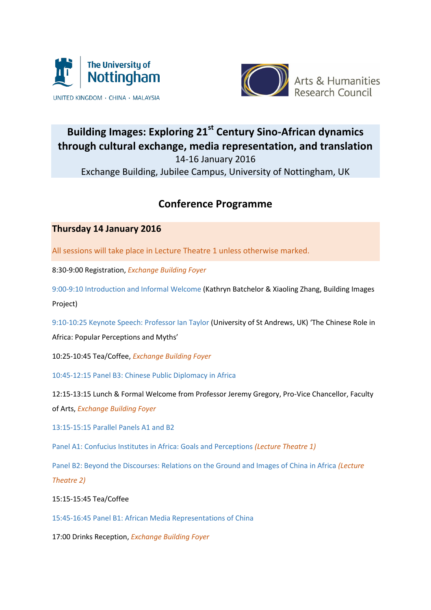



# **Building Images: Exploring 21st Century Sino-African dynamics through cultural exchange, media representation, and translation** 14-16 January 2016

Exchange Building, Jubilee Campus, University of Nottingham, UK

# **Conference Programme**

# **Thursday 14 January 2016**

All sessions will take place in Lecture Theatre 1 unless otherwise marked.

8:30-9:00 Registration, *Exchange Building Foyer*

9:00-9:10 Introduction and Informal Welcome (Kathryn Batchelor & Xiaoling Zhang, Building Images Project)

9:10-10:25 Keynote Speech: Professor Ian Taylor (University of St Andrews, UK) 'The Chinese Role in Africa: Popular Perceptions and Myths'

10:25-10:45 Tea/Coffee, *Exchange Building Foyer*

10:45-12:15 Panel B3: Chinese Public Diplomacy in Africa

12:15-13:15 Lunch & Formal Welcome from Professor Jeremy Gregory, Pro-Vice Chancellor, Faculty of Arts, *Exchange Building Foyer*

13:15-15:15 Parallel Panels A1 and B2

Panel A1: Confucius Institutes in Africa: Goals and Perceptions *(Lecture Theatre 1)*

Panel B2: Beyond the Discourses: Relations on the Ground and Images of China in Africa *(Lecture Theatre 2)*

## 15:15-15:45 Tea/Coffee

15:45-16:45 Panel B1: African Media Representations of China

17:00 Drinks Reception, *Exchange Building Foyer*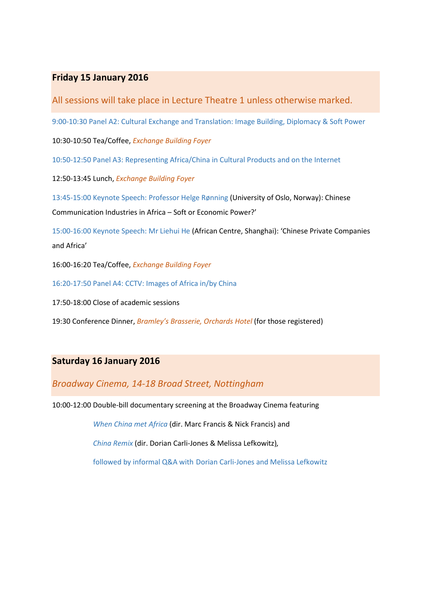## **Friday 15 January 2016**

All sessions will take place in Lecture Theatre 1 unless otherwise marked.

9:00-10:30 Panel A2: Cultural Exchange and Translation: Image Building, Diplomacy & Soft Power

10:30-10:50 Tea/Coffee, *Exchange Building Foyer*

10:50-12:50 Panel A3: Representing Africa/China in Cultural Products and on the Internet

12:50-13:45 Lunch, *Exchange Building Foyer*

13:45-15:00 Keynote Speech: Professor Helge Rønning (University of Oslo, Norway): Chinese Communication Industries in Africa – Soft or Economic Power?'

15:00-16:00 Keynote Speech: Mr Liehui He (African Centre, Shanghai): 'Chinese Private Companies and Africa'

16:00-16:20 Tea/Coffee, *Exchange Building Foyer*

16:20-17:50 Panel A4: CCTV: Images of Africa in/by China

17:50-18:00 Close of academic sessions

19:30 Conference Dinner, *Bramley's Brasserie, Orchards Hotel* (for those registered)

### **Saturday 16 January 2016**

### *Broadway Cinema, 14-18 Broad Street, Nottingham*

10:00-12:00 Double-bill documentary screening at the Broadway Cinema featuring

*When China met Africa* (dir. Marc Francis & Nick Francis) and

*China Remix* (dir. Dorian Carli-Jones & Melissa Lefkowitz)*,* 

followed by informal Q&A with Dorian Carli-Jones and Melissa Lefkowitz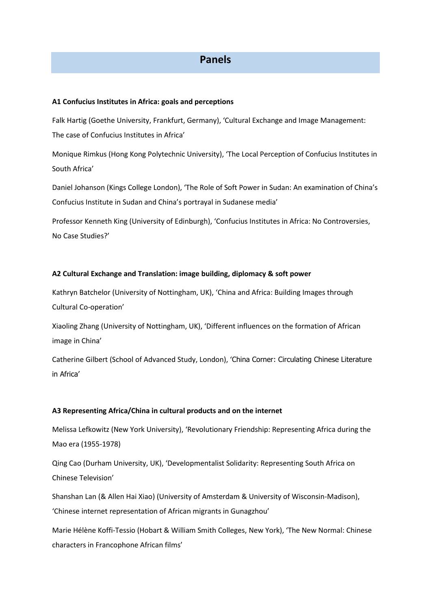# **Panels**

#### **A1 Confucius Institutes in Africa: goals and perceptions**

Falk Hartig (Goethe University, Frankfurt, Germany), 'Cultural Exchange and Image Management: The case of Confucius Institutes in Africa'

Monique Rimkus (Hong Kong Polytechnic University), 'The Local Perception of Confucius Institutes in South Africa'

Daniel Johanson (Kings College London), 'The Role of Soft Power in Sudan: An examination of China's Confucius Institute in Sudan and China's portrayal in Sudanese media'

Professor Kenneth King (University of Edinburgh), 'Confucius Institutes in Africa: No Controversies, No Case Studies?'

#### **A2 Cultural Exchange and Translation: image building, diplomacy & soft power**

Kathryn Batchelor (University of Nottingham, UK), 'China and Africa: Building Images through Cultural Co-operation'

Xiaoling Zhang (University of Nottingham, UK), 'Different influences on the formation of African image in China'

Catherine Gilbert (School of Advanced Study, London), 'China Corner: Circulating Chinese Literature in Africa'

#### **A3 Representing Africa/China in cultural products and on the internet**

Melissa Lefkowitz (New York University), 'Revolutionary Friendship: Representing Africa during the Mao era (1955-1978)

Qing Cao (Durham University, UK), 'Developmentalist Solidarity: Representing South Africa on Chinese Television'

Shanshan Lan (& Allen Hai Xiao) (University of Amsterdam & University of Wisconsin-Madison), 'Chinese internet representation of African migrants in Gunagzhou'

Marie Hélène Koffi-Tessio (Hobart & William Smith Colleges, New York), 'The New Normal: Chinese characters in Francophone African films'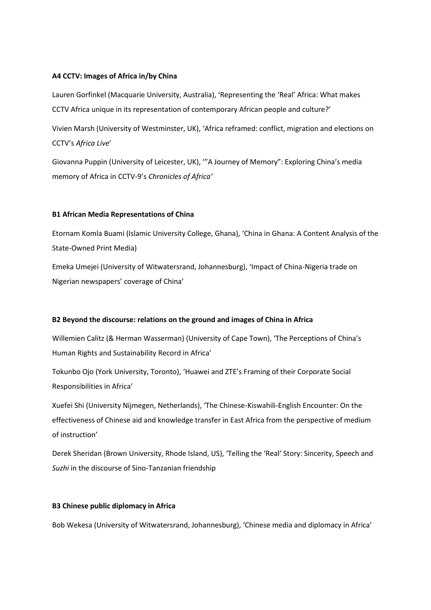#### **A4 CCTV: Images of Africa in/by China**

Lauren Gorfinkel (Macquarie University, Australia), 'Representing the 'Real' Africa: What makes CCTV Africa unique in its representation of contemporary African people and culture?'

Vivien Marsh (University of Westminster, UK), 'Africa reframed: conflict, migration and elections on CCTV's *Africa Live*'

Giovanna Puppin (University of Leicester, UK), '"A Journey of Memory": Exploring China's media memory of Africa in CCTV-9's *Chronicles of Africa'*

#### **B1 African Media Representations of China**

Etornam Komla Buami (Islamic University College, Ghana), 'China in Ghana: A Content Analysis of the State-Owned Print Media)

Emeka Umejei (University of Witwatersrand, Johannesburg), 'Impact of China-Nigeria trade on Nigerian newspapers' coverage of China'

#### **B2 Beyond the discourse: relations on the ground and images of China in Africa**

Willemien Calitz (& Herman Wasserman) (University of Cape Town), 'The Perceptions of China's Human Rights and Sustainability Record in Africa'

Tokunbo Ojo (York University, Toronto), 'Huawei and ZTE's Framing of their Corporate Social Responsibilities in Africa'

Xuefei Shi (University Nijmegen, Netherlands), 'The Chinese-Kiswahili-English Encounter: On the effectiveness of Chinese aid and knowledge transfer in East Africa from the perspective of medium of instruction'

Derek Sheridan (Brown University, Rhode Island, US), 'Telling the 'Real' Story: Sincerity, Speech and *Suzhi* in the discourse of Sino-Tanzanian friendship

#### **B3 Chinese public diplomacy in Africa**

Bob Wekesa (University of Witwatersrand, Johannesburg), 'Chinese media and diplomacy in Africa'